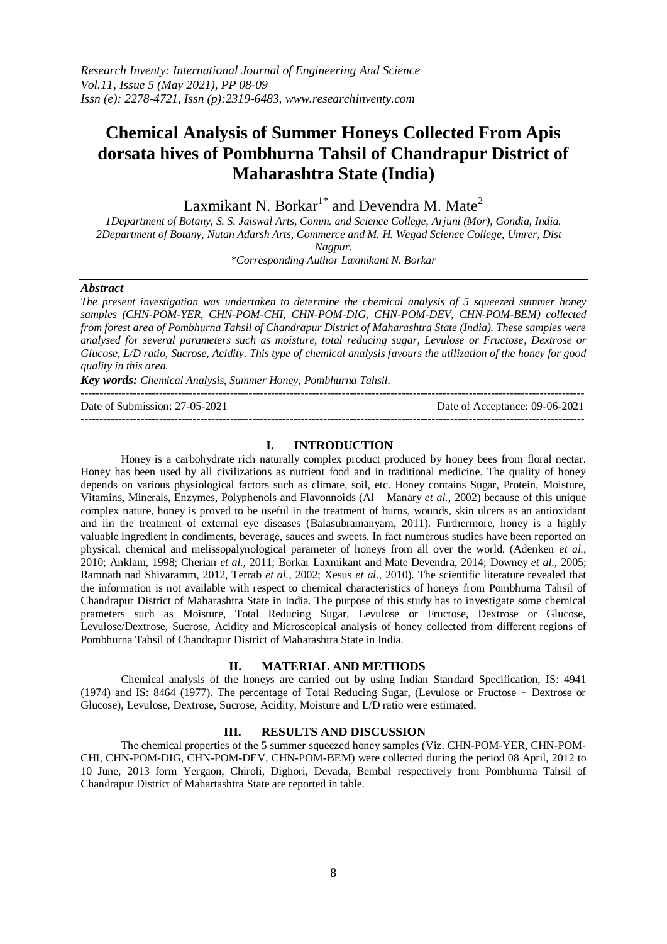# **Chemical Analysis of Summer Honeys Collected From Apis dorsata hives of Pombhurna Tahsil of Chandrapur District of Maharashtra State (India)**

Laxmikant N. Borkar<sup>1\*</sup> and Devendra M. Mate<sup>2</sup>

*1Department of Botany, S. S. Jaiswal Arts, Comm. and Science College, Arjuni (Mor), Gondia, India. 2Department of Botany, Nutan Adarsh Arts, Commerce and M. H. Wegad Science College, Umrer, Dist – Nagpur.*

*\*Corresponding Author Laxmikant N. Borkar*

### *Abstract*

*The present investigation was undertaken to determine the chemical analysis of 5 squeezed summer honey samples (CHN-POM-YER, CHN-POM-CHI, CHN-POM-DIG, CHN-POM-DEV, CHN-POM-BEM) collected from forest area of Pombhurna Tahsil of Chandrapur District of Maharashtra State (India). These samples were analysed for several parameters such as moisture, total reducing sugar, Levulose or Fructose, Dextrose or Glucose, L/D ratio, Sucrose, Acidity. This type of chemical analysis favours the utilization of the honey for good quality in this area.*

*Key words: Chemical Analysis, Summer Honey, Pombhurna Tahsil.*

--------------------------------------------------------------------------------------------------------------------------------------- Date of Submission: 27-05-2021 Date of Acceptance: 09-06-2021 ---------------------------------------------------------------------------------------------------------------------------------------

## **I. INTRODUCTION**

Honey is a carbohydrate rich naturally complex product produced by honey bees from floral nectar. Honey has been used by all civilizations as nutrient food and in traditional medicine. The quality of honey depends on various physiological factors such as climate, soil, etc. Honey contains Sugar, Protein, Moisture, Vitamins, Minerals, Enzymes, Polyphenols and Flavonnoids (Al – Manary *et al.,* 2002) because of this unique complex nature, honey is proved to be useful in the treatment of burns, wounds, skin ulcers as an antioxidant and iin the treatment of external eye diseases (Balasubramanyam, 2011). Furthermore, honey is a highly valuable ingredient in condiments, beverage, sauces and sweets. In fact numerous studies have been reported on physical, chemical and melissopalynological parameter of honeys from all over the world. (Adenken *et al.,*  2010; Anklam, 1998; Cherian *et al.,* 2011; Borkar Laxmikant and Mate Devendra, 2014; Downey *et al.,* 2005; Ramnath nad Shivaramm, 2012, Terrab *et al.,* 2002; Xesus *et al.,* 2010). The scientific literature revealed that the information is not available with respect to chemical characteristics of honeys from Pombhurna Tahsil of Chandrapur District of Maharashtra State in India. The purpose of this study has to investigate some chemical prameters such as Moisture, Total Reducing Sugar, Levulose or Fructose, Dextrose or Glucose, Levulose/Dextrose, Sucrose, Acidity and Microscopical analysis of honey collected from different regions of Pombhurna Tahsil of Chandrapur District of Maharashtra State in India.

## **II. MATERIAL AND METHODS**

Chemical analysis of the honeys are carried out by using Indian Standard Specification, IS: 4941 (1974) and IS: 8464 (1977). The percentage of Total Reducing Sugar, (Levulose or Fructose + Dextrose or Glucose), Levulose, Dextrose, Sucrose, Acidity, Moisture and L/D ratio were estimated.

## **III. RESULTS AND DISCUSSION**

The chemical properties of the 5 summer squeezed honey samples (Viz. CHN-POM-YER, CHN-POM-CHI, CHN-POM-DIG, CHN-POM-DEV, CHN-POM-BEM) were collected during the period 08 April, 2012 to 10 June, 2013 form Yergaon, Chiroli, Dighori, Devada, Bembal respectively from Pombhurna Tahsil of Chandrapur District of Mahartashtra State are reported in table.